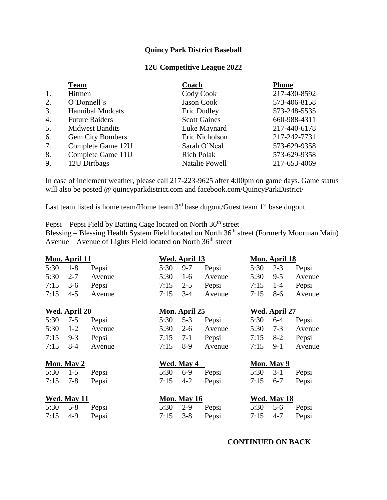## **Quincy Park District Baseball**

## **12U Competitive League 2022**

|                  | <b>Team</b>             | Coach               | Phone        |  |  |
|------------------|-------------------------|---------------------|--------------|--|--|
| 1.               | Hitmen                  | Cody Cook           | 217-430-8592 |  |  |
| 2.               | O'Donnell's             | Jason Cook          | 573-406-8158 |  |  |
| 3.               | <b>Hannibal Mudcats</b> | Eric Dudley         | 573-248-5535 |  |  |
| $\overline{4}$ . | <b>Future Raiders</b>   | <b>Scott Gaines</b> | 660-988-4311 |  |  |
| 5.               | <b>Midwest Bandits</b>  | Luke Maynard        | 217-440-6178 |  |  |
| 6.               | <b>Gem City Bombers</b> | Eric Nicholson      | 217-242-7731 |  |  |
| 7.               | Complete Game 12U       | Sarah O'Neal        | 573-629-9358 |  |  |
| 8.               | Complete Game 11U       | <b>Rich Polak</b>   | 573-629-9358 |  |  |
| 9.               | 12U Dirtbags            | Natalie Powell      | 217-653-4069 |  |  |

In case of inclement weather, please call 217-223-9625 after 4:00pm on game days. Game status will also be posted @ quincyparkdistrict.com and facebook.com/QuincyParkDistrict/

Last team listed is home team/Home team  $3<sup>rd</sup>$  base dugout/Guest team  $1<sup>st</sup>$  base dugout

Pepsi – Pepsi Field by Batting Cage located on North 36<sup>th</sup> street

Blessing – Blessing Health System Field located on North 36<sup>th</sup> street (Formerly Moorman Main) Avenue – Avenue of Lights Field located on North  $36<sup>th</sup>$  street

|               | Mon. April 11 |                      |            | Wed. April 13        |            |      | Mon. April 18 |        |
|---------------|---------------|----------------------|------------|----------------------|------------|------|---------------|--------|
| 5:30          | $1 - 8$       | Pepsi                | 5:30       | $9 - 7$              | Pepsi      | 5:30 | $2 - 3$       | Pepsi  |
| 5:30          | $2 - 7$       | Avenue               | 5:30       | $1-6$                | Avenue     | 5:30 | $9 - 5$       | Avenue |
| 7:15          | $3-6$         | Pepsi                | 7:15       | $2 - 5$              | Pepsi      | 7:15 | $1 - 4$       | Pepsi  |
| 7:15          | $4 - 5$       | Avenue               | 7:15       | $3 - 4$              | Avenue     | 7:15 | $8-6$         | Avenue |
| Wed. April 20 |               | <b>Mon. April 25</b> |            | <b>Wed. April 27</b> |            |      |               |        |
| 5:30          | $7 - 5$       | Pepsi                | 5:30       | $5 - 3$              | Pepsi      | 5:30 | $6 - 4$       | Pepsi  |
| 5:30          | $1-2$         | Avenue               | 5:30       | $2 - 6$              | Avenue     | 5:30 | $7 - 3$       | Avenue |
| 7:15          | $9 - 3$       | Pepsi                | 7:15       | $7-1$                | Pepsi      | 7:15 | $8-2$         | Pepsi  |
| 7:15          | 8-4           | Avenue               | 7:15       | $8-9$                | Avenue     | 7:15 | $9-1$         | Avenue |
| Mon. May 2    |               |                      | Wed. May 4 |                      | Mon. May 9 |      |               |        |
| 5:30          | $1 - 5$       | Pepsi                | 5:30       | $6-9$                | Pepsi      | 5:30 | $3-1$         | Pepsi  |
| 7:15          | $7 - 8$       | Pepsi                | 7:15       | $4 - 2$              | Pepsi      | 7:15 | $6 - 7$       | Pepsi  |
|               | Wed. May 11   |                      |            | <b>Mon. May 16</b>   |            |      | Wed. May 18   |        |
| 5:30          | $5 - 8$       | Pepsi                | 5:30       | $2 - 9$              | Pepsi      | 5:30 | $5 - 6$       | Pepsi  |
| 7:15          | $4-9$         | Pepsi                | 7:15       | $3 - 8$              | Pepsi      | 7:15 | $4 - 7$       | Pepsi  |

## **CONTINUED ON BACK**